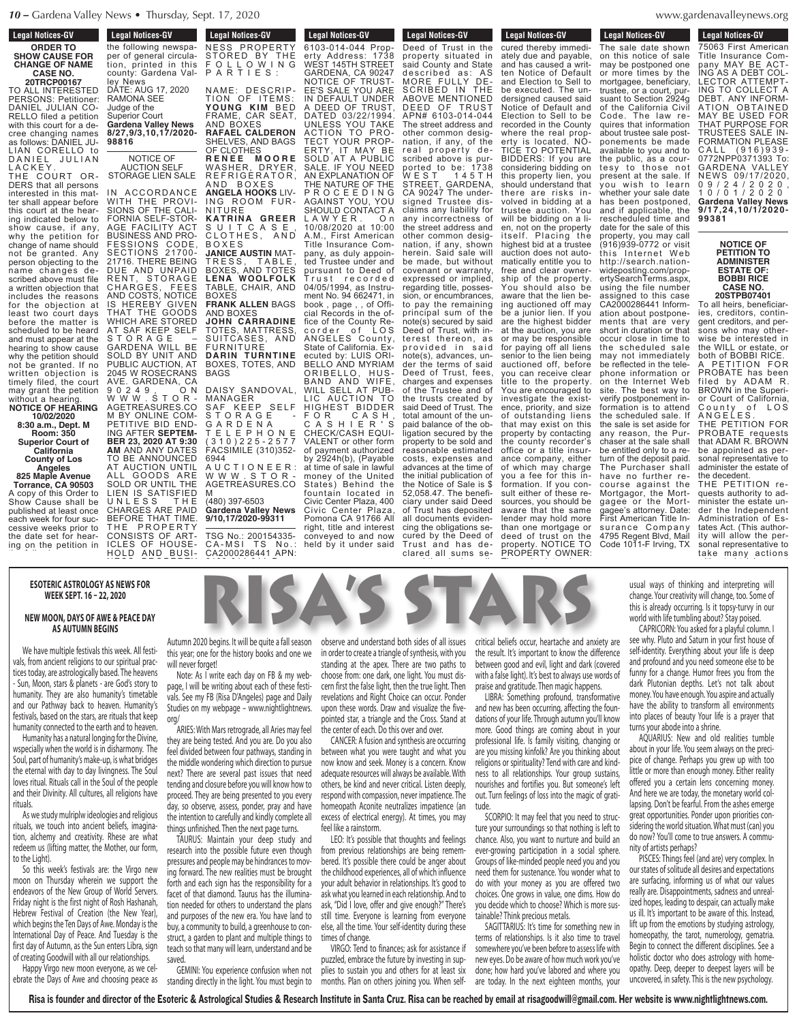**Legal Notices-GV ORDER TO SHOW CAUSE FOR CHANGE OF NAME**

**CASE NO. 20TRCP00167** TO ALL INTERESTED PERSONS: Petitioner: DANIEL JULIAN CO-RELLO filed a petition with this court for a decree changing names as follows: DANIEL JU-LIAN CORELLO to DANIEL JULIAN

L A C K E Y . THE COURT OR-DERS that all persons interested in this matter shall appear before this court at the hearing indicated below to show cause, if any, why the petition for change of name should not be granted. Any person objecting to the name changes described above must file a written objection that includes the reasons for the objection at least two court days before the matter is scheduled to be heard and must appear at the hearing to show cause why the petition should not be granted. If no written objection is timely filed, the court may grant the petition without a hearing. **NOTICE OF HEARING**

**10/02/2020 8:30 a.m., Dept. M Room: 350 Superior Court of**

**California County of Los Angeles**

**825 Maple Avenue Torrance, CA 90503** A copy of this Order to Show Cause shall be published at least once each week for four successive weeks prior to the date set for hearing on the petition in

per of general circulation, printed in this case of

### $\overline{r}$  of networks on  $\overline{r}$ **ESOTERIC ASTROLOGY AS NEWS FOR** ley News **ESOTERIC ASTROLOGY AS NEWS FOR**  DATE: AUG 17, 2020 **WEEK SEPT. 16 – 22, 2020** RAMONA SEE

### **NEW MOON, DAYS OF AWE & PEACE DAY** FRAME, CAR SEAT, CAR SEAT, CAR SEAT, CAR SEAT, CAR SEAT, CAR SEAT, CAR SEAT, CAR SEAT, CAR SEAT, CAR SEAT, CAR **IF A NEW MOON, DAYS OF AWE & PEACE DAY Gardena Valley News AS AUTUMN BEGINS 8/27,9/3,10,17/2020-**

**We have multiple festivals this week. All festi-<br>
<b>We have multiple festivals this week. All festi-** $\frac{1}{2}$  Shelves,  $\frac{1}{2}$  and  $\frac{1}{2}$  and  $\frac{1}{2}$  and  $\frac{1}{2}$  and  $\frac{1}{2}$  and  $\frac{1}{2}$  and  $\frac{1}{2}$  and  $\frac{1}{2}$  and  $\frac{1}{2}$  and  $\frac{1}{2}$  and  $\frac{1}{2}$  and  $\frac{1}{2}$  and  $\frac{1}{2}$  and  $\frac{1}{2}$  and  $\frac{1}{$ vals, from ancient religions to our spiritual prac-**R E N E E M O O R E** tices today, are astrologically based. The heavens - Sun, Moon, stars & planets - are God's story to  $\frac{1}{2}$  and I will  $R = 2R + 2R + 7R$   $\mu$   $\alpha$   $\beta$   $\beta$   $\beta$ humanity. They are also humanity's timetable val and our Pathway back to heaven. Humanity's Studies or festivals, based on the stars, are rituals that keep  $\sigma_{\rm N}$ humanity connected to the earth and to heaven.

**RKIES**<br>**Refersed RKIES** Humanity has a natural longing for the Divine, they are b wspecially when the world is in disharmony. The feel divide Soul, part of humanity's make-up, is what bridges **The eternal with day to day livingness. The Soul show the Hildule**  $T_{\rm B}$  respectively  $T_{\rm B}$  and  $T_{\rm B}$  and  $T_{\rm B}$  are  $T_{\rm B}$  . loves ritual. Rituals call in the Soul of the people trending an and their Divinity. All cultures, all religions have nroceed 1 rituals.

**As we study mulriplw ideologies and religious the intent** rituals, we touch into ancient beliefs, imagination, alchemy and creativity. Rhese are what TAURU redeem us (lifting matter, the Mother, our form, research in to the Light).

ne Lignu,<br>So this week's festivals are: the Virgo new ing forwal moon on Thursday wherein we support the  $\frac{m}{\pi}$  forth and endeavors of the New Group of World Servers. Friday night is the first night of Rosh Hashanah, Lion neede Hebrew Festival of Creation (the New Year), which begins the Ten Days of Awe. Monday is the  $\frac{1}{2}$  buy a con  $S$  Tuesday is the  $S$  Duy, a CON International Day of Peace. And Tuesday is the  $\frac{1}{5}$ first day of Autumn, as the Sun enters Libra, sign <sub>teach so t</sub> of creating Goodwill with all our relationships. saved

Happy Virgo new moon everyone, as we cel-<br>GEMIN  $\frac{9016}{2}$ ebrate the Days of Awe and choosing peace as standing c

**Legal Notices-GV Legal Nutles-GV** NESS PROPERTY P A R T I E S : AND BOXES OF CLOTHES **Legal Notices-GV Legal Nutries-GV** the following newspaper of general circulation, printed in this county: Gardena Valley News DATE: AUG 17, 2020 RAMONA SEE Judge of the Superior Court **Gardena Valley News 8/27,9/3,10,17/2020- 98816** NOTICE OF AUCTION SELF STORAGE LIEN SALE IN ACCORDANCE WITH THE PROVI-SIONS OF THE CALI-FORNIA SELF-STOR-AGE FACILITY ACT BUSINESS AND PRO-FESSIONS CODE,

REFRIGERATOR,<br>AND BOXES A N D B O X E S **ANGELA HOOKS** LIV-ING ROOM FUR-**NITURE K A T R I N A GR EE R** S U I T C A S E , CLOTHES, AND B O X E S **JANICE AUSTIN** MAT-TRESS, TABLE, BOXES, AND TOTES **LENA WOOLFOLK** TABLE, CHAIR, AND BOXES **FRANK ALLEN** BAGS AND BOXES **JOHN CARRADINE** TOTES, MATTRESS, SUITCASES, AND FURNITURE **DARIN TURNTINE** BOXES, TOTES, AND **BAGS** DAISY SANDOVAL, MANAGER SAF KEEP SELF S T O R A G E - G A R D E N A T E L E P H O N E ( 3 1 0 ) 2 2 5 - 2 5 7 7 SECTIONS 21700- 21716. THERE BEING DUE AND UNPAID RENT, STORAGE CHARGES, FEES AND COSTS, NOTICE IS HEREBY GIVEN THAT THE GOODS WHICH ARE STORED AT SAF KEEP SELF S T O R A G E – GARDENA WILL BE SOLD BY UNIT AND PUBLIC AUCTION, AT 2045 W ROSECRANS AVE. GARDENA, CA 9 0 2 4 9 , O N W W W . S T O R - AGETREASURES.CO M BY ONLINE COM-PETITIVE BID END-ING AFTER **SEPTEM-BER 23, 2020 AT 9:30**

FACSIMILE (310)352- 6944 A U C T I O N E E R : W W W . S T O R - AGETREASURES.CO M (480) 397-6503 **Gardena Valley News 9/10,17/2020-99311** TSG No.: 200154335- CA-MSI TS No.: **AM** AND ANY DATES TO BE ANNOUNCED AT AUCTION UNTIL ALL GOODS ARE SOLD OR UNTIL THE LIEN IS SATISFIED U N L E S S T H E CHARGES ARE PAID BEFORE THAT TIME. THE PROPERTY CONSISTS OF ART-ICLES OF HOUSE-HOLD AND BUSI-

STORED BY THE

6103-014-044 Property Address: 1738 WEST 145TH STREET GARDENA, CA 90247 NOTICE OF TRUST-EE'S SALE YOU ARE IN DEFAULT UNDER A DEED OF TRUST, DATED 03/22/1994. UNLESS YOU TAKE ACTION TO PRO-TECT YOUR PROP-ERTY, IT MAY BE SOLD AT A PUBLIC SALE. IF YOU NEED AN EXPLANATION OF THE NATURE OF THE P R O C E E D I N G AGAINST YOU, YOU SHOULD CONTACT A L A W Y E R . O n 10/08/2020 at 10:00 A.M., First American Title Insurance Company, as duly appointed Trustee under and pursuant to Deed of Trust recorded 04/05/1994, as Instrument No. 94 662471, in book , page , , of Official Records in the office of the County Recorder of LOS corder of LOS ANGELES County, State of California. Ex ecuted by: LUIS ORI-BELLO AND MYRIAM ORIBELLO, HUS-BAND AND WIFE, WILL SELL AT PUB-LIC AUCTION TO HIGHEST BIDDER F O R C A S H , C A S H I E R ' S CHECK/CASH EQUI-VALENT or other form of payment authorized by 2924h(b), (Payable at time of sale in lawful money of the United States) Behind the fountain located in Civic Center Plaza, 400 Civic Center Plaza, Pomona CA 91766 All STORED BY THE F O L L O W I N G N A M E: D ES C R IP-TION OF ITE M S: **YOUNG KI M** BED FRAME, CAR SEAT, **RAFAEL CALDERON** SHELVES, AND BAGS **R E N E E M O O R E** WASHER, DRYER,

**Legal Notices-GV** Legal Nutries-GV Deed of Trust in the property situated in said County and State described as: AS MORE FULLY DE-SCRIBED IN THE ABOVE MENTIONED DEED OF TRUST APN# 6103-014-044 The street address and other common designation, if any, of the real property described above is purported to be: 1738 W E S T 1 4 5 T H STREET, GARDENA, CA 90247 The undersigned Trustee disclaims any liability for any incorrectness of the street address and other common designation, if any, shown herein. Said sale will be made, but without covenant or warranty, expressed or implied, regarding title, possession, or encumbrances, to pay the remaining principal sum of the note(s) secured by said Deed of Trust, with interest thereon, as provided in said note(s), advances, under the terms of said Deed of Trust, fees, charges and expenses of the Trustee and of the trusts created by said Deed of Trust. The total amount of the unpaid balance of the obligation secured by the property to be sold and reasonable estimated costs, expenses and advances at the time of the initial publication of the Notice of Sale is \$ 52,058.47. The beneficiary under said Deed of Trust has deposited all documents evidencing the obligations secured by the Deed of Trust and has declared all sums se-**Legal Notices-GV** Legal Nutres-GV right, title and interest conveyed to and now held by it under said

**Legal Nutiles-GV** cured thereby immedi-ately due and payable, and has caused a written Notice of Default and Election to Sell to be executed. The undersigned caused said Notice of Default and Election to Sell to be recorded in the County where the real property is located. NO-TICE TO POTENTIAL BIDDERS: If you are considering bidding on this property lien, you should understand that there are risks involved in bidding at a trustee auction. You will be bidding on a lien, not on the property itself. Placing the highest bid at a trustee auction does not automatically entitle you to free and clear ownership of the property. You should also be aware that the lien being auctioned off may be a junior lien. If are the highest bidder at the auction, you are or may be responsible for paying off all liens senior to the lien being auctioned off, before you can receive clear title to the property. You are encouraged to investigate the existence, priority, and size of outstanding liens that may exist on this property by contacting the county recorder's office or a title insurance company, either of which may charge you a fee for this information. If you consult either of these resources, you should be aware that the same lender may hold more than one mortgage or deed of trust on the property. NOTICE TO PROPERTY OWNER:

**Legal Notices-GV** 

denavalleynews.org www.gardenavalleynews.org  $\dots \dots$ 

**Legal Notices-GV Legal Nutries-GV** The sale date shown

on this notice of sale may be postponed one or more times by the mortgagee, beneficiary, trustee, or a court, pursuant to Section 2924g of the California Civil Code. The law requires that information about trustee sale postponements be made available to you and to the public, as a courtesy to those not present at the sale. If you wish to learn whether your sale date has been postponed, and if applicable, the rescheduled time and date for the sale of this property, you may call (916)939-0772 or visit this Internet Web http://search.nationwideposting.com/propertySearchTerms.aspx, using the file number assigned to this case CA2000286441 Information about postponements that are very short in duration or that occur close in time to the scheduled sale may not immediately be reflected in the telephone information or on the Internet Web site. The best way to verify postponement information is to attend the scheduled sale. If the sale is set aside for any reason, the Purchaser at the sale shall be entitled only to a return of the deposit paid. The Purchaser shall have no further recourse against the Mortgagor, the Mortgagee or the Mortgagee's attorney. Date: First American Title Insurance Company 4795 Regent Blvd, Mail Code 1011-F Irving, TX

**Legal Notices-GV Code 101105-01** 75063 First American Title Insurance Company MAY BE ACT-ING AS A DEBT COL-LECTOR ATTEMPT-ING TO COLLECT A DEBT. ANY INFORM-ATION OBTAINED MAY BE USED FOR THAT PURPOSE FOR TRUSTEES SALE IN-FORMATION PLEASE C A L L (916) 939-0772NPP0371393 To: GARDENA VALLEY NEWS 09/17/2020, 0 9 / 2 4 / 2 0 2 0 , 1 0 / 0 1 / 2 0 2 0 **Gardena Valley News 9/17,24,10/1/2020-**

**99381**



To all heirs, beneficiaries, creditors, contingent creditors, and persons who may otherwise be interested in the WILL or estate, or both of BOBBI RICE<br>A PETITION FO A PETITION FOR PROBATE has been filed by ADAM R. BROWN in the Superior Court of California, County of LOS A N G E L E S . THE PETITION FOR PROBATE requests that ADAM R. BROWN be appointed as personal representative to administer the estate of the decedent.

THE PETITION requests authority to administer the estate under the Independent Administration of Estates Act. (This authority will allow the personal representative to take many actions 75063 First American

approval. Before tak-

critical beliefs occur, heartache and anxiety are  $\epsilon$  is the sale poster trustee sale postthe result. It's important to know the difference between good and evil, light and dark (covered with a false light). It's best to always use words of tes y tous secondaires y tous and Election to Sell to be executed. The undersigned caused said Notice of Default and Election to Sell to be on observe and understand both sides of all issues critica  $\frac{1}{2}$ where  $\frac{1}{2}$  and  $\frac{1}{2}$  and  $\frac{1}{2}$  and  $\frac{1}{2}$  and  $\frac{1}{2}$  and  $\frac{1}{2}$  and  $\frac{1}{2}$  and  $\frac{1}{2}$  and  $\frac{1}{2}$  and  $\frac{1}{2}$  and  $\frac{1}{2}$  and  $\frac{1}{2}$  and  $\frac{1}{2}$  and  $\frac{1}{2}$  and  $\frac{1}{2}$  the theory lien, you're

**99381** The Communist Communist Communist Communist Communist Communist Communist Communist Communist Communist Communist Communist Communist Communist Communist Communist Communist Communist Communist Communist Communist praise and gratitude. Then magic happens. LIBRA: Something profound, transformative and new has been occurring, affecting the foundations of your life. Through autumn you'll know more. Good things are coming about in your professional life. Is family visiting, changing or are you missing kinfolk? Are you thinking about religions or spirituality? Tend with care and kindthe spirituality: Term with early hess to all relationships. Your group sustains, nourishes and fortifies you. But someone's left  $\epsilon$  feelings of loss into the magic out. Turn feelings of loss into the magic of grati-<br>tude tude.

assigned to the case of  $\mathcal{L}$ SCORPIO: It may feel that you need to structure your surroundings so that nothing is left to chance. Also, you want to nurture and build an  $s_{\text{max}}$  you want to narture and ever-growing participation in a social sphere. Groups of like-minded people need you and you need them for sustenance. You wonder what to be reflected in the teledo with your money as you are offered two choices. One grows in value, one dims. How do you decide which to choose? Which is more sus-.<br>tainable? Think precious metals.

fabie: Think precious metals.<br>SAGITTARIUS: It's time for something new in terms of relationships. Is it also time to travel somewhere you've been before to assess life with new eyes. Do be aware of how much work you've  $b \cdot D$  be a real control to  $b \cdot D$  and  $c \cdot D$ done; how hard you've labored and where you are today. In the next eighteen months, your

ing certain very importusual ways of thinking and interpreting will change. Your creativity will change, too. Some of this is already occurring. Is it topsy-turvy in our world with life tumbling about? Stay poised.  $\frac{1}{2}$  about:  $\frac{1}{2}$  about:  $\frac{1}{2}$  poised. usual ways of thinking and interpreting will

world with the turnbing about: Stay poised.<br>CAPRICORN: You asked for a playful column. I <sub>nty are</sub> see why. Pluto and Saturn in your first house of Ly are<br><sub>Prence</sub> self-identity. Everything about your life is deep  $i$  about your life is accepted. erence Sen lactify. Everything about your life is accepted and profound and you need someone else to be <sub>ords of</sub> tunny for a change. Humor frees you from the dark Plutonian depths. Let's not talk about mative money. You have enough. You aspire and actually  $t_0$  fou asplie and actually mative invited to the chough to dasplie and actually<br>e foun- have the ability to transform all environments I know into places of beauty Your life is a prayer that turns your abode into a shrine. CAPRICORN: You asked for a playful column. I overed and profound and you need someone else to be

 $\sim$  and the perimeter  $\sim$ AQUARIUS: New and old realities tumble about in your life. You seem always on the preci-  $\begin{bmatrix} \phantom{-} \end{bmatrix}$ pice of change. Perhaps you grew up with too little or more than enough money. Either reality  $\frac{1}{2}$ offered you a certain lens concerning money. And here we are today, the monetary world collapsing. Don't be fearful. From the ashes emerge  $\frac{1}{2}$ great opportunities. Ponder upon priorities con---------------------------------sidering the world situation. What must (can) you  $\qquad \qquad \mid$ true answers. A commudo now? You'll come to true answers. A commu-<br>nity of artists nerhans? nity of artists perhaps?

 $(388)$  vary complex the set PISCES: Things feel (and are) very complex. In  $\hphantom{\big|}$ our states of solitude all desires and expectations  $\qquad$ are surfacing, informing us of what our values  $\frac{1}{2}$  antercal networks and unreal. really are. Disappointments, sadness and unrealized hopes, leading to despair, can actually make  $\qquad \qquad \mid$ us ill. It's important to be aware of this. Instead,  $\qquad$  | lift up from the emotions by studying astrology,  $\mu$  by staajing astrology, homeopathy, the tarot, numerology, gematria. Begin to connect the different disciplines. See a  $\qquad$ holistic doctor who does astrology with hometo deenest lavers will he opathy. Deep, deeper to deepest layers will be<br>wearinged in orfstall This is the gauge website will  $uncovered,$  in safety. This is the new psychology.  $\begin{bmatrix} \phantom{-} \end{bmatrix}$ 

Autumn 2020 begins. It will be quite a fall season  $\sigma$  begins. It will be quite a lail so this year; one for the history books and one we will never forget! What is a series when  $\mathbb{R}^n$ 

Note: As I write each day on FB & my webpage, I will be writing about each of these festi- $\epsilon$  willing about each of these vals. See my FB (Risa D'Angeles) page and Daily ıy webpage – www.nightlightı Studies on my webpage – www.nightlightnews.<br>org/ h Marc rotrogrado all Arioc ma org/

ARIES: With Mars retrograde, all Aries may feel they are being tested. And you are. Do you also feel divided between four pathways, standing in the middle wondering which direction to pursue procing which direction to p next? There are several past issues that need tending and closure before you will know how to proceed. They are being presented to you every g are being presented to you ment No. 9 are being presence to you ever, the intention to carefully and kindly complete all things unfinished. Then the next page turns.

TAURUS: Maintain your deep study and manitani your accep staay research into the possible future even though pressures and people may be hindrances to moving forward. The new realities must be brought The new realities made be by forth and each sign has the responsibility for a<br>footh of the religions of Taylor has the illustration facet of that diamond. Taurus has the illumination needed for others to understand the plans and purposes of the new era. You have land to  $H_{\text{in}}$  is the field of the field in the field  $\sigma$  are an interested to buy, a community to build, a greenhouse to construct, a garden to plant and multiple things to many will learn, understand a teach so that many will learn, understand and be<br>saved saved.

of payment authorized authorized authorized authorized authorized authorized authorized authorized authorized GEMINI: You experience confusion when not standing directly in the light. You must begin to money of the United

we in order to create a triangle of synthesis, with you standing at the apex. There are two paths to betwe b- choose from: one dark, one light. You must dis- with a consider the false light, then the true light. Then praise show that the raise light, then the true light. Their praise<br>lily revelations and Right Choice can occur. Ponder LIB ws. upon these words. Draw and visualize the five- and n pointed star, a triangle and the Cross. Stand at datior pointed star, a thangle and the eross. Stand at a dation  $\frac{1}{2}$  by a line and over  $\frac{1}{2}$  and  $\frac{1}{2}$  and  $\frac{1}{2}$  and  $\frac{1}{2}$  and  $\frac{1}{2}$  and  $\frac{1}{2}$  and  $\frac{1}{2}$  and  $\frac{1}{2}$  and  $\frac{1}{2}$  and  $\frac{1}{2}$  and  $\frac{1}{2}$  and  $\frac{1}{2}$  and  $\frac{1}{2}$  and  $\frac{1}{2}$  r e a l p r o p e rt y d e - in order to create a triangle of synthesis, with you illy - revelations and Right Choice can occur. Ponder eel the center of each. Do this over and over.<br>.

lso CANCER: A fusion and synthesis are occurring profes in between what you were taught and what you are you ue now know and seek. Money is a concern. Know religic auction does not autoed adequate resources will always be available. With ness to others, be kind and never critical. Listen deeply, nourist ery respond with compassion, never impatience. The out. To Note impatience the bad to and the complete that the best and the theorem beall excess of electrical energy). At times, you may bu ed adequate resources will always be available. With ive Andreopath Aconite neutralizes impatience (an feel like a rainstorm.

nd LEO: It's possible that thoughts and feelings chanc roughts and recinitys chance or may be responsible that moderns and recinity change yv- bered. It's possible there could be anger about Group the childhood experiences, all of which influence need and the commission of performed, and the minimum cross of the commission of the commission of the summary of the state of the state of the state of the state of the state of the state of the state of the state of the state you can be can require control control control control control control control control control control control control control control control control control control control control control control control control control ra your addit behavior in relationships. it's good to do with<br>a- ask what you learned in each relationship. And to choice Ins ask, "Did I love, offer and give enough?" There's you d to still time. Everyone is learning from everyone tainab ence, priority, and size the size of the size of the size of the size of the size of the size of the size of t<br>Size of the size of the size of the size of the size of the size of the size of the size of the size of the si of the unit of the unit of the unit of the unit of the unit of the unit of the unit of the unit of the unit of the unit of the unit of the unit of the unit of the unit of the unit of the unit of the unit of the unit of the gh from previous relationships are being rememha- ask what you learned in each relationship. And to ph-clise, all the time. Your self-identity during these to times of change.

be VIRGO: Tend to finances; ask for assistance if some puzzled, embrace the future by investing in sup-<br>new e c by investing in superincive puzzied, chibrace the future by investing in superior the puzzied, chibrace in the company of to months. Plan on others joining you. When self- are to ot – plies to sustain you and others for at least six

ITOR or a contingent .<br>mail at risagoodwill@gmail.com. Her website is www.nightlightnews.com. cedent, you must file mail at risagoodwill@gma  $\sim$   $\sim$   $\sim$   $\sim$ you a fee for this inarch Institute in Santa Cruz. Risa can be reached by sult either of these rearch Institute in Santa Cı ciary under said Deed strological Studies & Res  $\frac{6}{100}$  $\mathcal{M} \subset \mathcal{M}$  . So the set of  $\mathcal{M}$ Risa is founder and director of the Esoteric & Astrological Studies & Research Institute in Santa Cruz. Risa can be reached by email at risagoodwill@gmail.com. Her website is www.nightlightnews.com. M

pany MAY BE ACTon this notice of sale may be postponed one or more times by the mortgagee, beneficiary, trustee, or a court, pursuant to Section 2924g of the California Civil Code. The law reately due and payable, and has caused a written Notice of Default Deed of Trust in the said County and States and States and States and States and States and States and States and d e s c ri b e d a s e s c ri b e d a s : MORE FULLY DE-SCRIBED IN THE ABOVE MENTIONED DEED OF TRUST  $A$ The street address and CA2000286441 APN: erty Address: 1738 WEST 145TH STREET GARDENA, CA 90247 NOTICE OF TRUST-EE'S SALE YOU ARE IN DEFAULT UNDER A DEED OF TRUST, DATED 03/22/1994. RISA'S STARS